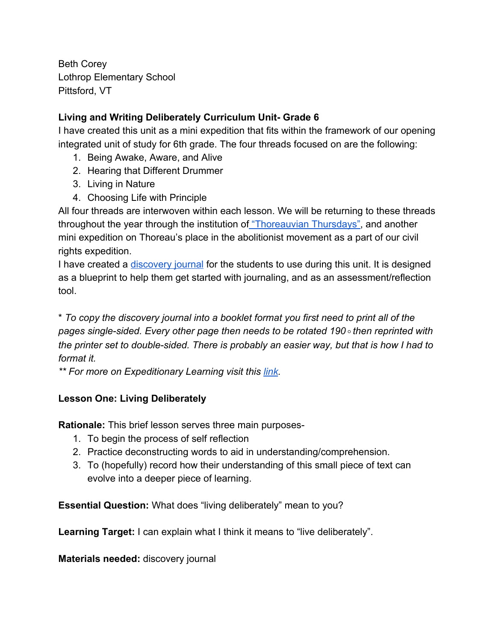Beth Corey Lothrop Elementary School Pittsford, VT

## **Living and Writing Deliberately Curriculum Unit- Grade 6**

I have created this unit as a mini expedition that fits within the framework of our opening integrated unit of study for 6th grade. The four threads focused on are the following:

- 1. Being Awake, Aware, and Alive
- 2. Hearing that Different Drummer
- 3. Living in Nature
- 4. Choosing Life with Principle

All four threads are interwoven within each lesson. We will be returning to these threads throughout the year through the institution o[f "Thoreauvian Thursdays",](https://drive.google.com/file/d/0By_9d_m7LAfPaXZZSUVzR0V1cTA/view?usp=sharing) and another mini expedition on Thoreau's place in the abolitionist movement as a part of our civil rights expedition.

I have created a [discovery journal](https://drive.google.com/file/d/0By_9d_m7LAfPcU9oQzJ3UFpvbW8/view?usp=sharing) for the students to use during this unit. It is designed as a blueprint to help them get started with journaling, and as an assessment/reflection tool.

\* *To copy the discovery journal into a booklet format you first need to print all of the pages single-sided. Every other page then needs to be rotated 190* ° *then reprinted with the printer set to double-sided. There is probably an easier way, but that is how I had to format it.*

*\*\* For more on Expeditionary Learning visit this [link.](https://eleducation.org/resources/collections/new-to-el-education-collection)*

## **Lesson One: Living Deliberately**

**Rationale:** This brief lesson serves three main purposes-

- 1. To begin the process of self reflection
- 2. Practice deconstructing words to aid in understanding/comprehension.
- 3. To (hopefully) record how their understanding of this small piece of text can evolve into a deeper piece of learning.

**Essential Question:** What does "living deliberately" mean to you?

**Learning Target:** I can explain what I think it means to "live deliberately".

**Materials needed:** discovery journal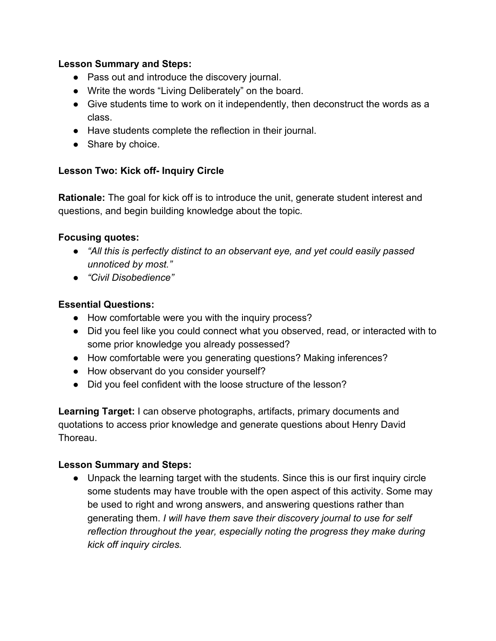#### **Lesson Summary and Steps:**

- Pass out and introduce the discovery journal.
- Write the words "Living Deliberately" on the board.
- Give students time to work on it independently, then deconstruct the words as a class.
- Have students complete the reflection in their journal.
- Share by choice.

#### **Lesson Two: Kick off- Inquiry Circle**

**Rationale:** The goal for kick off is to introduce the unit, generate student interest and questions, and begin building knowledge about the topic.

#### **Focusing quotes:**

- *● "All this is perfectly distinct to an observant eye, and yet could easily passed unnoticed by most."*
- *● "Civil Disobedience"*

#### **Essential Questions:**

- How comfortable were you with the inquiry process?
- Did you feel like you could connect what you observed, read, or interacted with to some prior knowledge you already possessed?
- How comfortable were you generating questions? Making inferences?
- How observant do you consider yourself?
- Did you feel confident with the loose structure of the lesson?

**Learning Target:** I can observe photographs, artifacts, primary documents and quotations to access prior knowledge and generate questions about Henry David Thoreau.

#### **Lesson Summary and Steps:**

● Unpack the learning target with the students. Since this is our first inquiry circle some students may have trouble with the open aspect of this activity. Some may be used to right and wrong answers, and answering questions rather than generating them. *I will have them save their discovery journal to use for self reflection throughout the year, especially noting the progress they make during kick off inquiry circles.*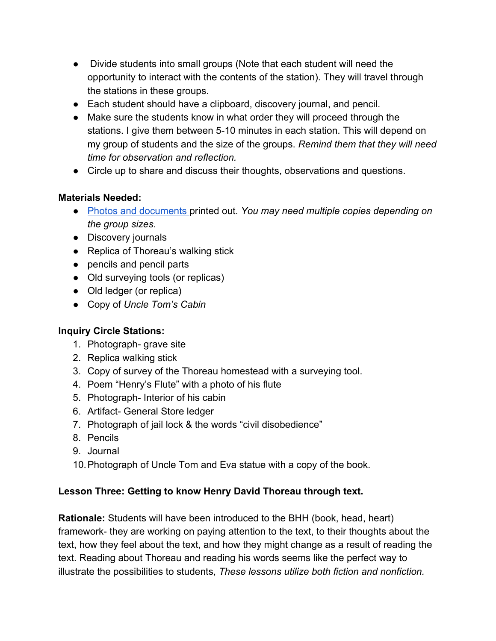- Divide students into small groups (Note that each student will need the opportunity to interact with the contents of the station). They will travel through the stations in these groups.
- Each student should have a clipboard, discovery journal, and pencil.
- Make sure the students know in what order they will proceed through the stations. I give them between 5-10 minutes in each station. This will depend on my group of students and the size of the groups. *Remind them that they will need time for observation and reflection.*
- Circle up to share and discuss their thoughts, observations and questions.

## **Materials Needed:**

- [Photos and documents p](https://drive.google.com/file/d/0By_9d_m7LAfPa3dVM1NjNU82aGs/view?usp=sharing)rinted out. *You may need multiple copies depending on the group sizes.*
- Discovery journals
- Replica of Thoreau's walking stick
- pencils and pencil parts
- Old surveying tools (or replicas)
- Old ledger (or replica)
- Copy of *Uncle Tom's Cabin*

# **Inquiry Circle Stations:**

- 1. Photograph- grave site
- 2. Replica walking stick
- 3. Copy of survey of the Thoreau homestead with a surveying tool.
- 4. Poem "Henry's Flute" with a photo of his flute
- 5. Photograph- Interior of his cabin
- 6. Artifact- General Store ledger
- 7. Photograph of jail lock & the words "civil disobedience"
- 8. Pencils
- 9. Journal
- 10.Photograph of Uncle Tom and Eva statue with a copy of the book.

## **Lesson Three: Getting to know Henry David Thoreau through text.**

**Rationale:** Students will have been introduced to the BHH (book, head, heart) framework- they are working on paying attention to the text, to their thoughts about the text, how they feel about the text, and how they might change as a result of reading the text. Reading about Thoreau and reading his words seems like the perfect way to illustrate the possibilities to students, *These lessons utilize both fiction and nonfiction.*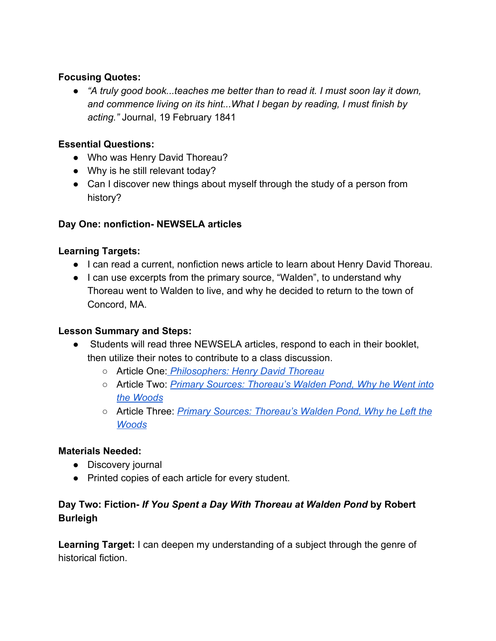#### **Focusing Quotes:**

● *"A truly good book...teaches me better than to read it. I must soon lay it down, and commence living on its hint...What I began by reading, I must finish by acting."* Journal, 19 February 1841

## **Essential Questions:**

- Who was Henry David Thoreau?
- Why is he still relevant today?
- Can I discover new things about myself through the study of a person from history?

## **Day One: nonfiction- NEWSELA articles**

## **Learning Targets:**

- I can read a current, nonfiction news article to learn about Henry David Thoreau.
- I can use excerpts from the primary source, "Walden", to understand why Thoreau went to Walden to live, and why he decided to return to the town of Concord, MA.

## **Lesson Summary and Steps:**

- Students will read three NEWSELA articles, respond to each in their booklet, then utilize their notes to contribute to a class discussion.
	- Article One: *[Philosophers: Henry David Thoreau](https://newsela.com/articles/bio-philosopher-henry-david-thoreau/id/20729/)*
	- Article Two: *[Primary Sources: Thoreau's Walden Pond, Why he Went into](https://newsela.com/articles/primary-source-thoreau-walden-where/id/25087/) [the Woods](https://newsela.com/articles/primary-source-thoreau-walden-where/id/25087/)*
	- Article Three: *[Primary Sources: Thoreau's Walden Pond, Why he Left the](https://newsela.com/articles/primary-source-thoreau-walden-conclusion/id/25093/) [Woods](https://newsela.com/articles/primary-source-thoreau-walden-conclusion/id/25093/)*

## **Materials Needed:**

- Discovery journal
- Printed copies of each article for every student.

## **Day Two: Fiction-** *If You Spent a Day With Thoreau at Walden Pond* **by Robert Burleigh**

**Learning Target:** I can deepen my understanding of a subject through the genre of historical fiction.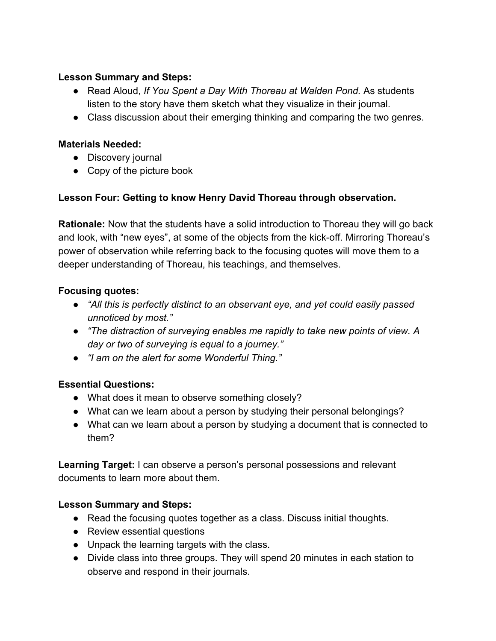#### **Lesson Summary and Steps:**

- Read Aloud, *If You Spent a Day With Thoreau at Walden Pond.* As students listen to the story have them sketch what they visualize in their journal.
- Class discussion about their emerging thinking and comparing the two genres.

#### **Materials Needed:**

- Discovery journal
- Copy of the picture book

## **Lesson Four: Getting to know Henry David Thoreau through observation.**

**Rationale:** Now that the students have a solid introduction to Thoreau they will go back and look, with "new eyes", at some of the objects from the kick-off. Mirroring Thoreau's power of observation while referring back to the focusing quotes will move them to a deeper understanding of Thoreau, his teachings, and themselves.

#### **Focusing quotes:**

- *● "All this is perfectly distinct to an observant eye, and yet could easily passed unnoticed by most."*
- *● "The distraction of surveying enables me rapidly to take new points of view. A day or two of surveying is equal to a journey."*
- *● "I am on the alert for some Wonderful Thing."*

## **Essential Questions:**

- What does it mean to observe something closely?
- What can we learn about a person by studying their personal belongings?
- What can we learn about a person by studying a document that is connected to them?

**Learning Target:** I can observe a person's personal possessions and relevant documents to learn more about them.

## **Lesson Summary and Steps:**

- Read the focusing quotes together as a class. Discuss initial thoughts.
- Review essential questions
- Unpack the learning targets with the class.
- Divide class into three groups. They will spend 20 minutes in each station to observe and respond in their journals.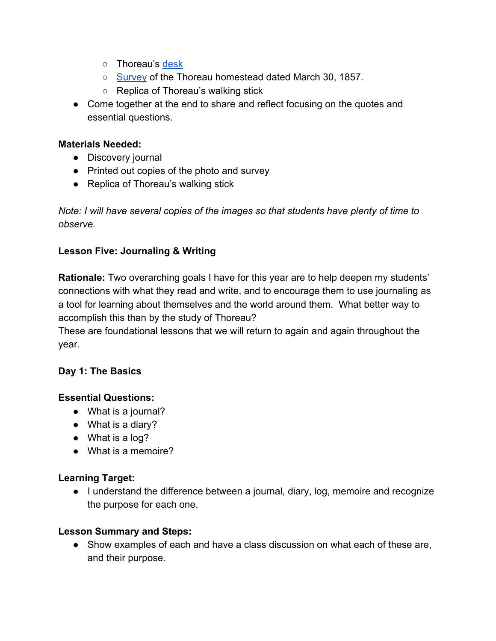- o Thoreau's [desk](http://www.concordmuseum.org/the-Thoreau-desk.php)
- [Survey](https://aschmidt01742.files.wordpress.com/2010/09/order_2011-435_morganlibrarymuseum.jpg) of the Thoreau homestead dated March 30, 1857.
- Replica of Thoreau's walking stick
- Come together at the end to share and reflect focusing on the quotes and essential questions.

#### **Materials Needed:**

- Discovery journal
- Printed out copies of the photo and survey
- Replica of Thoreau's walking stick

*Note: I will have several copies of the images so that students have plenty of time to observe.*

## **Lesson Five: Journaling & Writing**

**Rationale:** Two overarching goals I have for this year are to help deepen my students' connections with what they read and write, and to encourage them to use journaling as a tool for learning about themselves and the world around them. What better way to accomplish this than by the study of Thoreau?

These are foundational lessons that we will return to again and again throughout the year.

## **Day 1: The Basics**

## **Essential Questions:**

- What is a journal?
- What is a diary?
- What is a log?
- What is a memoire?

## **Learning Target:**

● I understand the difference between a journal, diary, log, memoire and recognize the purpose for each one.

## **Lesson Summary and Steps:**

● Show examples of each and have a class discussion on what each of these are, and their purpose.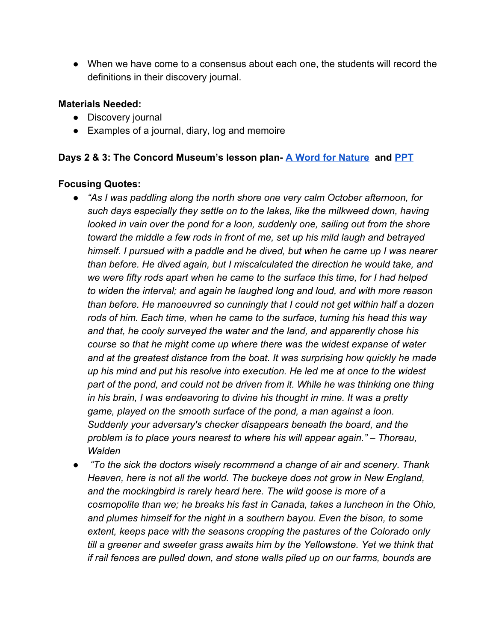● When we have come to a consensus about each one, the students will record the definitions in their discovery journal.

#### **Materials Needed:**

- Discovery journal
- Examples of a journal, diary, log and memoire

#### **Days 2 & 3: The Concord Museum's lesson plan- [A Word for Nature](http://www.concordmuseum.org/assets/A%20Word%20for%20Nature.pdf) and [PPT](http://www.concordmuseum.org/assets/A%20Word%20for%20Nature%20PowerPoint.pdf)**

#### **Focusing Quotes:**

- *● "As I was paddling along the north shore one very calm October afternoon, for such days especially they settle on to the lakes, like the milkweed down, having looked in vain over the pond for a loon, suddenly one, sailing out from the shore toward the middle a few rods in front of me, set up his mild laugh and betrayed himself. I pursued with a paddle and he dived, but when he came up I was nearer than before. He dived again, but I miscalculated the direction he would take, and we were fifty rods apart when he came to the surface this time, for I had helped to widen the interval; and again he laughed long and loud, and with more reason than before. He manoeuvred so cunningly that I could not get within half a dozen rods of him. Each time, when he came to the surface, turning his head this way and that, he cooly surveyed the water and the land, and apparently chose his course so that he might come up where there was the widest expanse of water and at the greatest distance from the boat. It was surprising how quickly he made up his mind and put his resolve into execution. He led me at once to the widest part of the pond, and could not be driven from it. While he was thinking one thing in his brain, I was endeavoring to divine his thought in mine. It was a pretty game, played on the smooth surface of the pond, a man against a loon. Suddenly your adversary's checker disappears beneath the board, and the problem is to place yours nearest to where his will appear again." – Thoreau, Walden*
- *"To the sick the doctors wisely recommend a change of air and scenery. Thank Heaven, here is not all the world. The buckeye does not grow in New England, and the mockingbird is rarely heard here. The wild goose is more of a cosmopolite than we; he breaks his fast in Canada, takes a luncheon in the Ohio, and plumes himself for the night in a southern bayou. Even the bison, to some extent, keeps pace with the seasons cropping the pastures of the Colorado only till a greener and sweeter grass awaits him by the Yellowstone. Yet we think that if rail fences are pulled down, and stone walls piled up on our farms, bounds are*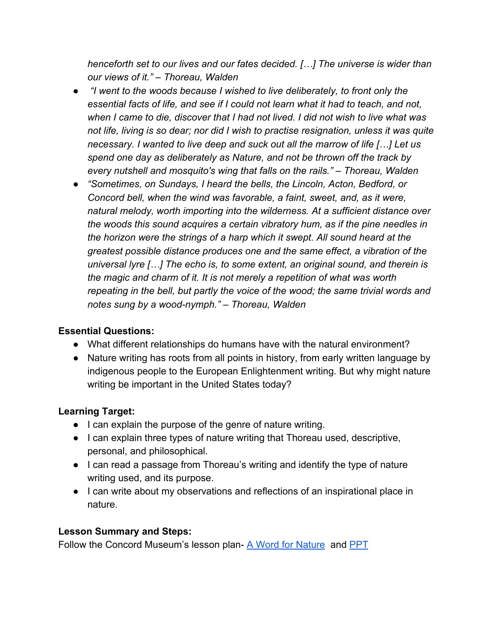*henceforth set to our lives and our fates decided. […] The universe is wider than our views of it." – Thoreau, Walden*

- *"I went to the woods because I wished to live deliberately, to front only the essential facts of life, and see if I could not learn what it had to teach, and not, when I came to die, discover that I had not lived. I did not wish to live what was not life, living is so dear; nor did I wish to practise resignation, unless it was quite necessary. I wanted to live deep and suck out all the marrow of life […] Let us spend one day as deliberately as Nature, and not be thrown off the track by every nutshell and mosquito's wing that falls on the rails." – Thoreau, Walden*
- *● "Sometimes, on Sundays, I heard the bells, the Lincoln, Acton, Bedford, or Concord bell, when the wind was favorable, a faint, sweet, and, as it were, natural melody, worth importing into the wilderness. At a sufficient distance over the woods this sound acquires a certain vibratory hum, as if the pine needles in the horizon were the strings of a harp which it swept. All sound heard at the greatest possible distance produces one and the same effect, a vibration of the universal lyre […] The echo is, to some extent, an original sound, and therein is the magic and charm of it. It is not merely a repetition of what was worth repeating in the bell, but partly the voice of the wood; the same trivial words and notes sung by a wood-nymph." – Thoreau, Walden*

## **Essential Questions:**

- What different relationships do humans have with the natural environment?
- Nature writing has roots from all points in history, from early written language by indigenous people to the European Enlightenment writing. But why might nature writing be important in the United States today?

## **Learning Target:**

- I can explain the purpose of the genre of nature writing.
- I can explain three types of nature writing that Thoreau used, descriptive, personal, and philosophical.
- I can read a passage from Thoreau's writing and identify the type of nature writing used, and its purpose.
- I can write about my observations and reflections of an inspirational place in nature.

## **Lesson Summary and Steps:**

Follow the Concord Museum's lesson plan- [A Word for Nature](http://www.concordmuseum.org/assets/A%20Word%20for%20Nature.pdf) and [PPT](http://www.concordmuseum.org/assets/A%20Word%20for%20Nature%20PowerPoint.pdf)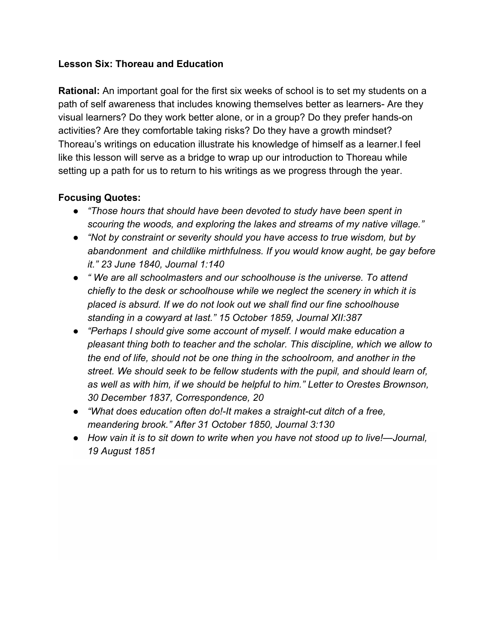#### **Lesson Six: Thoreau and Education**

**Rational:** An important goal for the first six weeks of school is to set my students on a path of self awareness that includes knowing themselves better as learners- Are they visual learners? Do they work better alone, or in a group? Do they prefer hands-on activities? Are they comfortable taking risks? Do they have a growth mindset? Thoreau's writings on education illustrate his knowledge of himself as a learner.I feel like this lesson will serve as a bridge to wrap up our introduction to Thoreau while setting up a path for us to return to his writings as we progress through the year.

#### **Focusing Quotes:**

- *● "Those hours that should have been devoted to study have been spent in scouring the woods, and exploring the lakes and streams of my native village."*
- *● "Not by constraint or severity should you have access to true wisdom, but by abandonment and childlike mirthfulness. If you would know aught, be gay before it." 23 June 1840, Journal 1:140*
- *● " We are all schoolmasters and our schoolhouse is the universe. To attend chiefly to the desk or schoolhouse while we neglect the scenery in which it is placed is absurd. If we do not look out we shall find our fine schoolhouse standing in a cowyard at last." 15 October 1859, Journal XII:387*
- *● "Perhaps I should give some account of myself. I would make education a pleasant thing both to teacher and the scholar. This discipline, which we allow to the end of life, should not be one thing in the schoolroom, and another in the street. We should seek to be fellow students with the pupil, and should learn of, as well as with him, if we should be helpful to him." Letter to Orestes Brownson, 30 December 1837, Correspondence, 20*
- *● "What does education often do!-It makes a straight-cut ditch of a free, meandering brook." After 31 October 1850, Journal 3:130*
- *● How vain it is to sit down to write when you have not stood up to live!—Journal, 19 August 1851*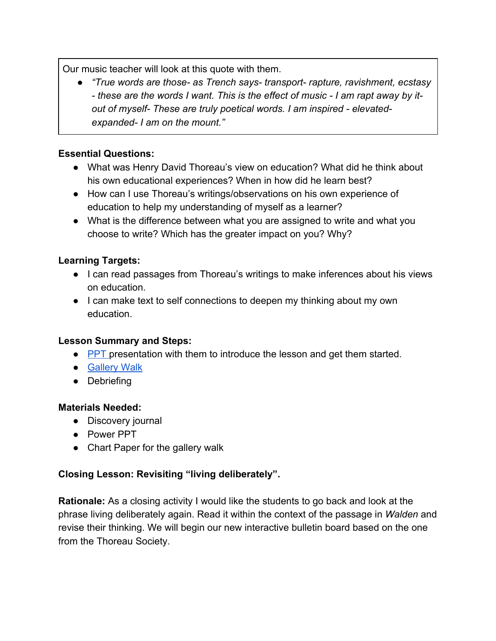Our music teacher will look at this quote with them.

*● "True words are those- as Trench says- transport- rapture, ravishment, ecstasy - these are the words I want. This is the effect of music - I am rapt away by itout of myself- These are truly poetical words. I am inspired - elevatedexpanded- I am on the mount."*

## **Essential Questions:**

- What was Henry David Thoreau's view on education? What did he think about his own educational experiences? When in how did he learn best?
- How can I use Thoreau's writings/observations on his own experience of education to help my understanding of myself as a learner?
- What is the difference between what you are assigned to write and what you choose to write? Which has the greater impact on you? Why?

## **Learning Targets:**

- I can read passages from Thoreau's writings to make inferences about his views on education.
- I can make text to self connections to deepen my thinking about my own education.

## **Lesson Summary and Steps:**

- [PPT p](https://drive.google.com/file/d/0By_9d_m7LAfPOUxlZzM1Rm1ZRWc/view?usp=sharing)resentation with them to introduce the lesson and get them started.
- [Gallery Walk](https://www.facinghistory.org/resource-library/teaching-strategies/gallery-walk)
- Debriefing

#### **Materials Needed:**

- Discovery journal
- Power PPT
- Chart Paper for the gallery walk

## **Closing Lesson: Revisiting "living deliberately".**

**Rationale:** As a closing activity I would like the students to go back and look at the phrase living deliberately again. Read it within the context of the passage in *Walden* and revise their thinking. We will begin our new interactive bulletin board based on the one from the Thoreau Society.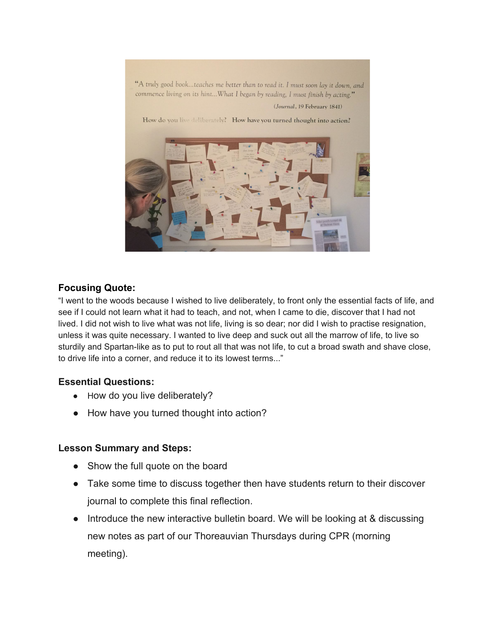

#### **Focusing Quote:**

"I went to the woods because I wished to live deliberately, to front only the essential facts of life, and see if I could not learn what it had to teach, and not, when I came to die, discover that I had not lived. I did not wish to live what was not life, living is so dear; nor did I wish to practise resignation, unless it was quite necessary. I wanted to live deep and suck out all the marrow of life, to live so sturdily and Spartan-like as to put to rout all that was not life, to cut a broad swath and shave close, to drive life into a corner, and reduce it to its lowest terms..."

#### **Essential Questions:**

- How do you live deliberately?
- How have you turned thought into action?

#### **Lesson Summary and Steps:**

- Show the full quote on the board
- Take some time to discuss together then have students return to their discover journal to complete this final reflection.
- Introduce the new interactive bulletin board. We will be looking at & discussing new notes as part of our Thoreauvian Thursdays during CPR (morning meeting).